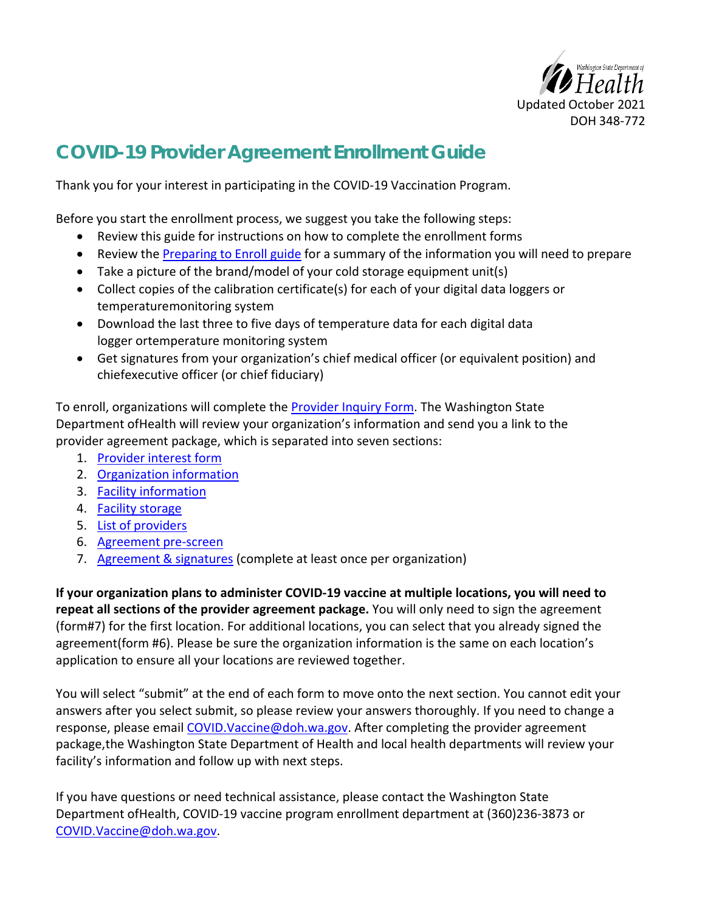

## **COVID-19 Provider Agreement Enrollment Guide**

Thank you for your interest in participating in the COVID-19 Vaccination Program.

Before you start the enrollment process, we suggest you take the following steps:

- Review this guide for instructions on how to complete the enrollment forms
- Review the [Preparing to Enroll guide f](https://www.doh.wa.gov/Portals/1/Documents/Pubs/348-768-PreparingEnrollment_COVID19VaccineProvider.pdf)or a summary of the information you will need to prepare
- Take a picture of the brand/model of your cold storage equipment unit(s)
- Collect copies of the calibration certificate(s) for each of your digital data loggers or temperature monitoring system
- Download the last three to five days of temperature data for each digital data logger or temperature monitoring system
- Get signatures from your organization's chief medical officer (or equivalent position) and chiefexecutive officer (or chief fiduciary)

To enroll, organizations will complete the [Provider Inquiry Form. T](#page-3-0)he Washington State Department ofHealth will review your organization's information and send you a link to the provider agreement package, which is separated into seven sections:

- 1. [Provider interest form](#page-3-1)
- 2. [Organization](#page-3-2) information
- 3. Facility [information](#page-4-0)
- 4. Facility [storage](#page-17-0)
- 5. List of [providers](#page-17-0)
- 6. [Agreement pre-screen](#page-17-1)
- 7. [Agreement & signatures \(](#page-17-2)complete at least once per organization)

**If your organization plans to administer COVID-19 vaccine at multiple locations, you will need to repeat all sections of the provider agreement package.** You will only need to sign the agreement (form #7) for the first location. For additional locations, you can select that you already signed the agreement(form #6). Please be sure the organization information is the same on each location's application to ensure all your locations are reviewed together.

You will select "submit" at the end of each form to move onto the next section. You cannot edit your answers after you select submit, so please review your answers thoroughly. If you need to change a response, please email COVID. Vaccine@doh.wa.gov. After completing the provider agreement package, the Washington State Department of Health and local health departments will review your facility's information and follow up with next steps.

If you have questions or need technical assistance, please contact the Washington State Department ofHealth, COVID-19 vaccine program enrollment department at (360)236-3873 or [COVID.Vaccine@doh.wa.gov.](mailto:COVID.Vaccine@doh.wa.gov)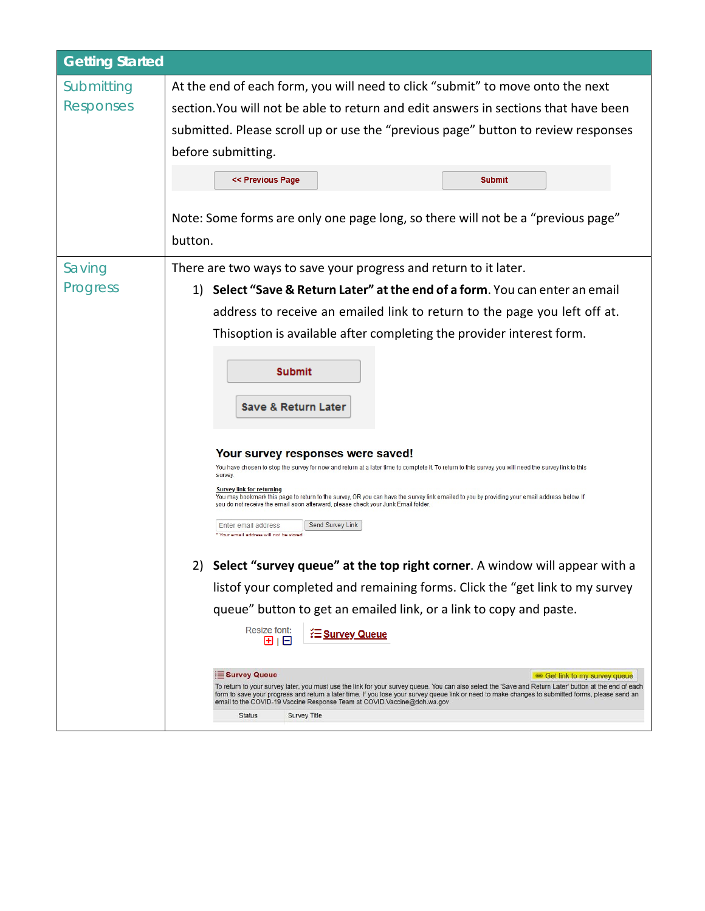| <b>Getting Started</b> |                                                                                                                                                                                                                                                                                                                                                                                                                                                                                          |  |  |  |
|------------------------|------------------------------------------------------------------------------------------------------------------------------------------------------------------------------------------------------------------------------------------------------------------------------------------------------------------------------------------------------------------------------------------------------------------------------------------------------------------------------------------|--|--|--|
| Submitting             | At the end of each form, you will need to click "submit" to move onto the next                                                                                                                                                                                                                                                                                                                                                                                                           |  |  |  |
| Responses              | section. You will not be able to return and edit answers in sections that have been<br>submitted. Please scroll up or use the "previous page" button to review responses<br>before submitting.                                                                                                                                                                                                                                                                                           |  |  |  |
|                        |                                                                                                                                                                                                                                                                                                                                                                                                                                                                                          |  |  |  |
|                        |                                                                                                                                                                                                                                                                                                                                                                                                                                                                                          |  |  |  |
|                        | << Previous Page<br><b>Submit</b>                                                                                                                                                                                                                                                                                                                                                                                                                                                        |  |  |  |
|                        | Note: Some forms are only one page long, so there will not be a "previous page"<br>button.                                                                                                                                                                                                                                                                                                                                                                                               |  |  |  |
| Saving                 | There are two ways to save your progress and return to it later.                                                                                                                                                                                                                                                                                                                                                                                                                         |  |  |  |
| Progress               | Select "Save & Return Later" at the end of a form. You can enter an email<br>1)                                                                                                                                                                                                                                                                                                                                                                                                          |  |  |  |
|                        | address to receive an emailed link to return to the page you left off at.                                                                                                                                                                                                                                                                                                                                                                                                                |  |  |  |
|                        | Thisoption is available after completing the provider interest form.<br><b>Submit</b><br><b>Save &amp; Return Later</b><br>Your survey responses were saved!<br>You have chosen to stop the survey for now and return at a later time to complete it. To return to this survey, you will need the survey link to this<br>survey.                                                                                                                                                         |  |  |  |
|                        |                                                                                                                                                                                                                                                                                                                                                                                                                                                                                          |  |  |  |
|                        |                                                                                                                                                                                                                                                                                                                                                                                                                                                                                          |  |  |  |
|                        | <u>Survey link for returning</u><br>You may bookmark this page to return to the survey, OR you can have the survey link emailed to you by providing your email address below. If<br>you do not receive the email soon afterward, please check your Junk Email folder.<br>Send Survey Link<br>Enter email address<br>Your email address will not be stored                                                                                                                                |  |  |  |
|                        |                                                                                                                                                                                                                                                                                                                                                                                                                                                                                          |  |  |  |
|                        | Select "survey queue" at the top right corner. A window will appear with a                                                                                                                                                                                                                                                                                                                                                                                                               |  |  |  |
|                        | listof your completed and remaining forms. Click the "get link to my survey                                                                                                                                                                                                                                                                                                                                                                                                              |  |  |  |
|                        | queue" button to get an emailed link, or a link to copy and paste.                                                                                                                                                                                                                                                                                                                                                                                                                       |  |  |  |
|                        | <b>Resize font:</b><br><b>E Survey Queue</b><br>田旧                                                                                                                                                                                                                                                                                                                                                                                                                                       |  |  |  |
|                        | Survey Queue<br><b>ED</b> Get link to my survey queue<br>To return to your survey later, you must use the link for your survey queue. You can also select the 'Save and Return Later' button at the end of each<br>form to save your progress and return a later time. If you lose your survey queue link or need to make changes to submitted forms, please send an<br>email to the COVID-19 Vaccine Response Team at COVID. Vaccine@doh.wa.gov<br><b>Status</b><br><b>Survey Title</b> |  |  |  |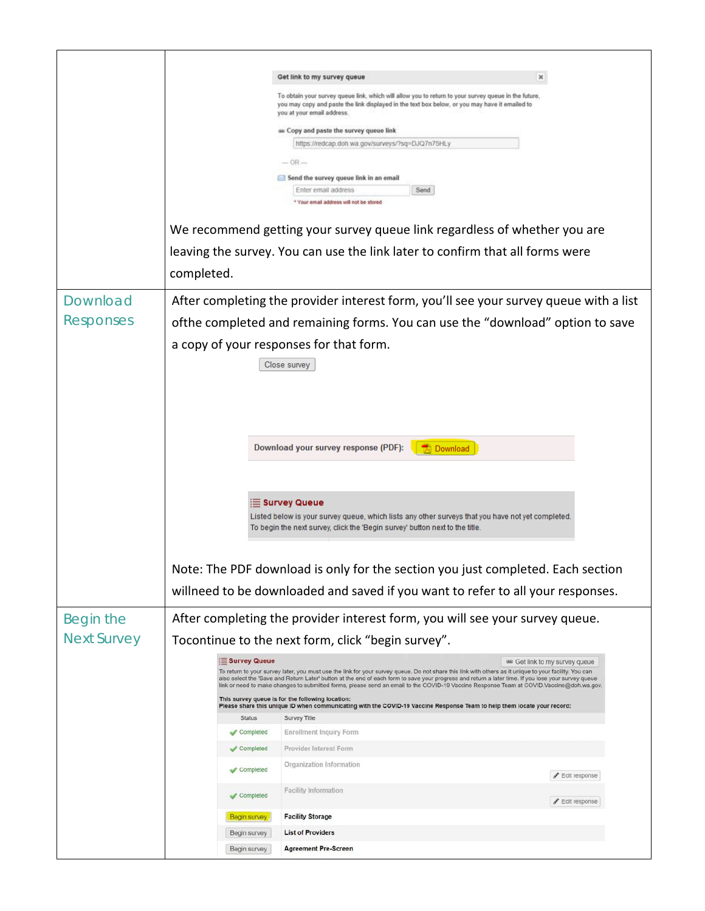|                    |                                                                                                   | Get link to my survey queue                                                                                                                                                                                                                                                                                   |                                     |
|--------------------|---------------------------------------------------------------------------------------------------|---------------------------------------------------------------------------------------------------------------------------------------------------------------------------------------------------------------------------------------------------------------------------------------------------------------|-------------------------------------|
|                    |                                                                                                   | To obtain your survey queue link, which will allow you to return to your survey queue in the future,<br>you may copy and paste the link displayed in the text box below, or you may have it emailed to<br>you at your email address.                                                                          |                                     |
|                    |                                                                                                   | as Copy and paste the survey queue link                                                                                                                                                                                                                                                                       |                                     |
|                    |                                                                                                   | https://redcap.doh.wa.gov/surveys/?sq=DJQ7n75HLy                                                                                                                                                                                                                                                              |                                     |
|                    |                                                                                                   | $-$ OR $-$                                                                                                                                                                                                                                                                                                    |                                     |
|                    |                                                                                                   | Send the survey queue link in an email                                                                                                                                                                                                                                                                        |                                     |
|                    |                                                                                                   | Send<br>Enter email address<br>* Your email address will not be stored                                                                                                                                                                                                                                        |                                     |
|                    |                                                                                                   | We recommend getting your survey queue link regardless of whether you are                                                                                                                                                                                                                                     |                                     |
|                    |                                                                                                   | leaving the survey. You can use the link later to confirm that all forms were                                                                                                                                                                                                                                 |                                     |
|                    | completed.                                                                                        |                                                                                                                                                                                                                                                                                                               |                                     |
| Download           |                                                                                                   | After completing the provider interest form, you'll see your survey queue with a list                                                                                                                                                                                                                         |                                     |
| <b>Responses</b>   |                                                                                                   | of the completed and remaining forms. You can use the "download" option to save                                                                                                                                                                                                                               |                                     |
|                    |                                                                                                   | a copy of your responses for that form.                                                                                                                                                                                                                                                                       |                                     |
|                    |                                                                                                   | Close survey                                                                                                                                                                                                                                                                                                  |                                     |
|                    |                                                                                                   |                                                                                                                                                                                                                                                                                                               |                                     |
|                    |                                                                                                   |                                                                                                                                                                                                                                                                                                               |                                     |
|                    |                                                                                                   |                                                                                                                                                                                                                                                                                                               |                                     |
|                    |                                                                                                   |                                                                                                                                                                                                                                                                                                               |                                     |
|                    | Download your survey response (PDF):<br><b>Download</b>                                           |                                                                                                                                                                                                                                                                                                               |                                     |
|                    |                                                                                                   |                                                                                                                                                                                                                                                                                                               |                                     |
|                    |                                                                                                   |                                                                                                                                                                                                                                                                                                               |                                     |
|                    |                                                                                                   | i⊟ Survey Queue                                                                                                                                                                                                                                                                                               |                                     |
|                    | Listed below is your survey queue, which lists any other surveys that you have not yet completed. |                                                                                                                                                                                                                                                                                                               |                                     |
|                    |                                                                                                   | To begin the next survey, click the 'Begin survey' button next to the title.                                                                                                                                                                                                                                  |                                     |
|                    |                                                                                                   |                                                                                                                                                                                                                                                                                                               |                                     |
|                    |                                                                                                   | Note: The PDF download is only for the section you just completed. Each section                                                                                                                                                                                                                               |                                     |
|                    |                                                                                                   | willneed to be downloaded and saved if you want to refer to all your responses.                                                                                                                                                                                                                               |                                     |
| Begin the          |                                                                                                   | After completing the provider interest form, you will see your survey queue.                                                                                                                                                                                                                                  |                                     |
| <b>Next Survey</b> |                                                                                                   | Tocontinue to the next form, click "begin survey".                                                                                                                                                                                                                                                            |                                     |
|                    | Survey Queue                                                                                      |                                                                                                                                                                                                                                                                                                               | 60 Get link to my survey queue      |
|                    |                                                                                                   | To return to your survey later, you must use the link for your survey queue. Do not share this link with others as it unique to your facility. You can<br>also select the 'Save and Return Later' button at the end of each form to save your progress and return a later time. If you lose your survey queue |                                     |
|                    |                                                                                                   | link or need to make changes to submitted forms, please send an email to the COVID-19 Vaccine Response Team at COVID.Vaccine@doh.wa.gov.<br>This survey queue is for the following location:                                                                                                                  |                                     |
|                    | <b>Status</b>                                                                                     | Please share this unique ID when communicating with the COVID-19 Vaccine Response Team to help them locate your record:<br>Survey Title                                                                                                                                                                       |                                     |
|                    | Completed                                                                                         | <b>Enrollment Inquiry Form</b>                                                                                                                                                                                                                                                                                |                                     |
|                    | Completed                                                                                         | Provider Interest Form                                                                                                                                                                                                                                                                                        |                                     |
|                    | Completed                                                                                         | Organization Information                                                                                                                                                                                                                                                                                      | <b>F</b> Edit response              |
|                    | Completed                                                                                         | <b>Facility Information</b>                                                                                                                                                                                                                                                                                   | $\blacktriangleright$ Edit response |
|                    | <b>Begin survey</b>                                                                               | <b>Facility Storage</b>                                                                                                                                                                                                                                                                                       |                                     |
|                    | Begin survey                                                                                      | <b>List of Providers</b>                                                                                                                                                                                                                                                                                      |                                     |
|                    | Begin survey                                                                                      | <b>Agreement Pre-Screen</b>                                                                                                                                                                                                                                                                                   |                                     |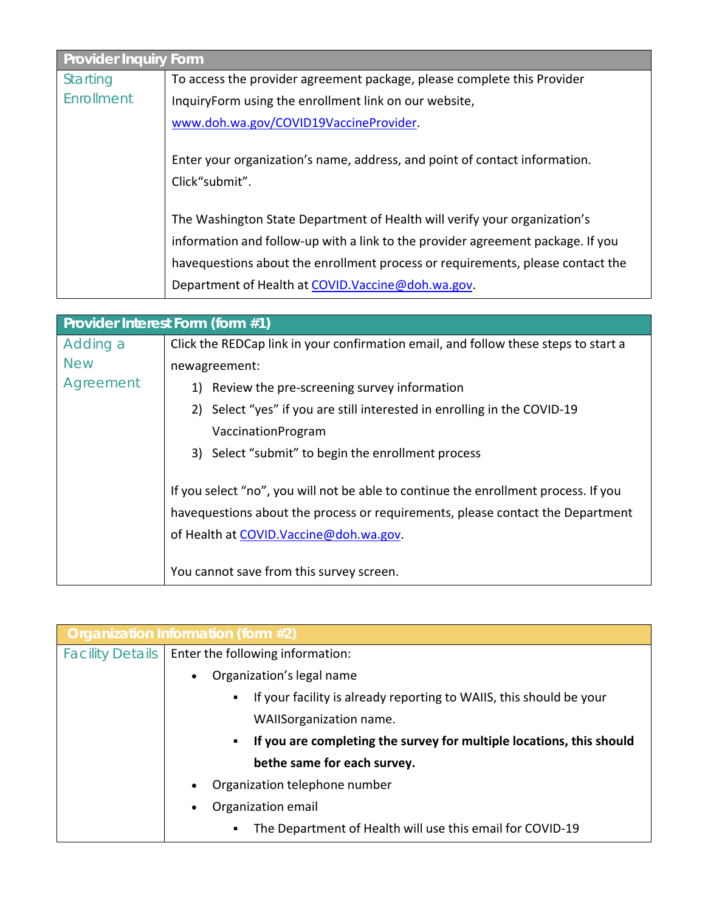<span id="page-3-0"></span>

| <b>Provider Inquiry Form</b> |                                                                                              |  |  |
|------------------------------|----------------------------------------------------------------------------------------------|--|--|
| <b>Starting</b>              | To access the provider agreement package, please complete this Provider                      |  |  |
| Enrollment                   | InquiryForm using the enrollment link on our website,                                        |  |  |
|                              | www.doh.wa.gov/COVID19VaccineProvider.                                                       |  |  |
|                              | Enter your organization's name, address, and point of contact information.<br>Click"submit". |  |  |
|                              | The Washington State Department of Health will verify your organization's                    |  |  |
|                              | information and follow-up with a link to the provider agreement package. If you              |  |  |
|                              | havequestions about the enrollment process or requirements, please contact the               |  |  |
|                              | Department of Health at COVID. Vaccine@doh.wa.gov.                                           |  |  |

<span id="page-3-1"></span>

| Provider Interest Form (form #1) |                                                                                                                                                                                                                  |  |  |
|----------------------------------|------------------------------------------------------------------------------------------------------------------------------------------------------------------------------------------------------------------|--|--|
| Adding a                         | Click the REDCap link in your confirmation email, and follow these steps to start a                                                                                                                              |  |  |
| <b>New</b>                       | newagreement:                                                                                                                                                                                                    |  |  |
| Agreement                        | 1) Review the pre-screening survey information                                                                                                                                                                   |  |  |
|                                  | 2) Select "yes" if you are still interested in enrolling in the COVID-19                                                                                                                                         |  |  |
|                                  | VaccinationProgram                                                                                                                                                                                               |  |  |
|                                  | 3) Select "submit" to begin the enrollment process                                                                                                                                                               |  |  |
|                                  | If you select "no", you will not be able to continue the enrollment process. If you<br>havequestions about the process or requirements, please contact the Department<br>of Health at COVID. Vaccine@doh.wa.gov. |  |  |
|                                  | You cannot save from this survey screen.                                                                                                                                                                         |  |  |

<span id="page-3-2"></span>

|                         | Organization Information (form #2)                                                    |  |
|-------------------------|---------------------------------------------------------------------------------------|--|
| <b>Facility Details</b> | Enter the following information:                                                      |  |
|                         | Organization's legal name<br>$\bullet$                                                |  |
|                         | If your facility is already reporting to WAIIS, this should be your<br>$\blacksquare$ |  |
|                         | WAIIS organization name.                                                              |  |
|                         | If you are completing the survey for multiple locations, this should<br>٠             |  |
|                         | bethe same for each survey.                                                           |  |
|                         | Organization telephone number<br>$\bullet$                                            |  |
|                         | Organization email<br>$\bullet$                                                       |  |
|                         | The Department of Health will use this email for COVID-19<br>$\blacksquare$           |  |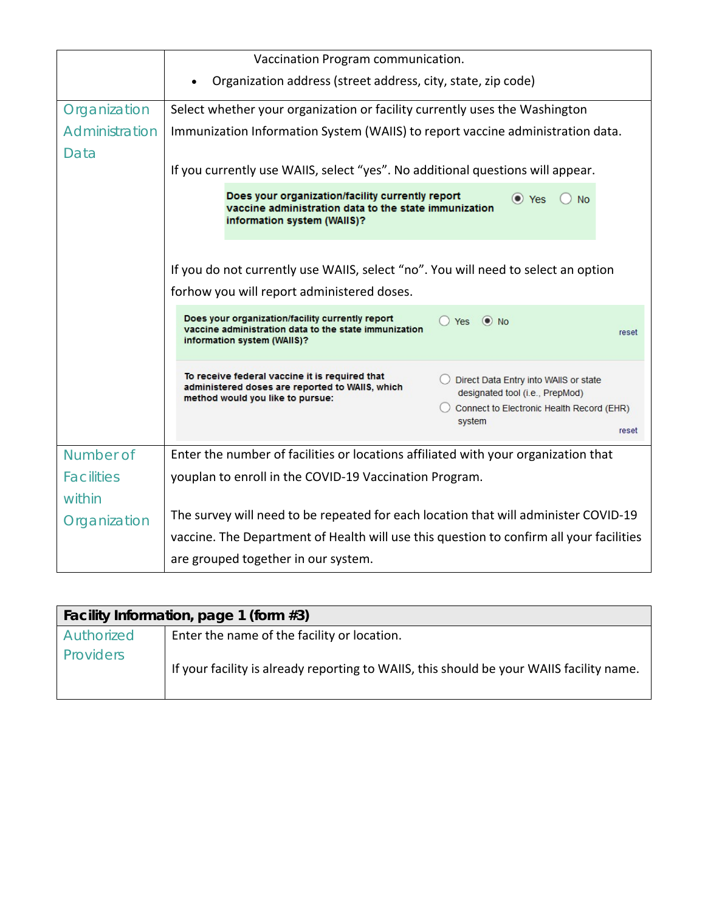|                   | Vaccination Program communication.                                                                                                                                                                                                                                                |  |  |
|-------------------|-----------------------------------------------------------------------------------------------------------------------------------------------------------------------------------------------------------------------------------------------------------------------------------|--|--|
|                   | Organization address (street address, city, state, zip code)                                                                                                                                                                                                                      |  |  |
| Organization      | Select whether your organization or facility currently uses the Washington                                                                                                                                                                                                        |  |  |
| Administration    | Immunization Information System (WAIIS) to report vaccine administration data.                                                                                                                                                                                                    |  |  |
| Data              |                                                                                                                                                                                                                                                                                   |  |  |
|                   | If you currently use WAIIS, select "yes". No additional questions will appear.                                                                                                                                                                                                    |  |  |
|                   | Does your organization/facility currently report<br>O Yes<br><b>No</b><br>vaccine administration data to the state immunization<br>information system (WAIIS)?                                                                                                                    |  |  |
|                   | If you do not currently use WAIIS, select "no". You will need to select an option<br>forhow you will report administered doses.                                                                                                                                                   |  |  |
|                   | Does your organization/facility currently report<br>$O$ Yes $\odot$ No<br>vaccine administration data to the state immunization<br>reset<br>information system (WAIIS)?                                                                                                           |  |  |
|                   | To receive federal vaccine it is required that<br>Direct Data Entry into WAIIS or state<br>administered doses are reported to WAIIS, which<br>designated tool (i.e., PrepMod)<br>method would you like to pursue:<br>Connect to Electronic Health Record (EHR)<br>system<br>reset |  |  |
| Number of         | Enter the number of facilities or locations affiliated with your organization that                                                                                                                                                                                                |  |  |
| <b>Facilities</b> | youplan to enroll in the COVID-19 Vaccination Program.                                                                                                                                                                                                                            |  |  |
| within            |                                                                                                                                                                                                                                                                                   |  |  |
| Organization      | The survey will need to be repeated for each location that will administer COVID-19                                                                                                                                                                                               |  |  |
|                   | vaccine. The Department of Health will use this question to confirm all your facilities                                                                                                                                                                                           |  |  |
|                   | are grouped together in our system.                                                                                                                                                                                                                                               |  |  |

<span id="page-4-0"></span>

| Facility Information, page 1 (form #3) |                                                                                          |  |  |
|----------------------------------------|------------------------------------------------------------------------------------------|--|--|
| Authorized                             | Enter the name of the facility or location.                                              |  |  |
| Providers                              | If your facility is already reporting to WAIIS, this should be your WAIIS facility name. |  |  |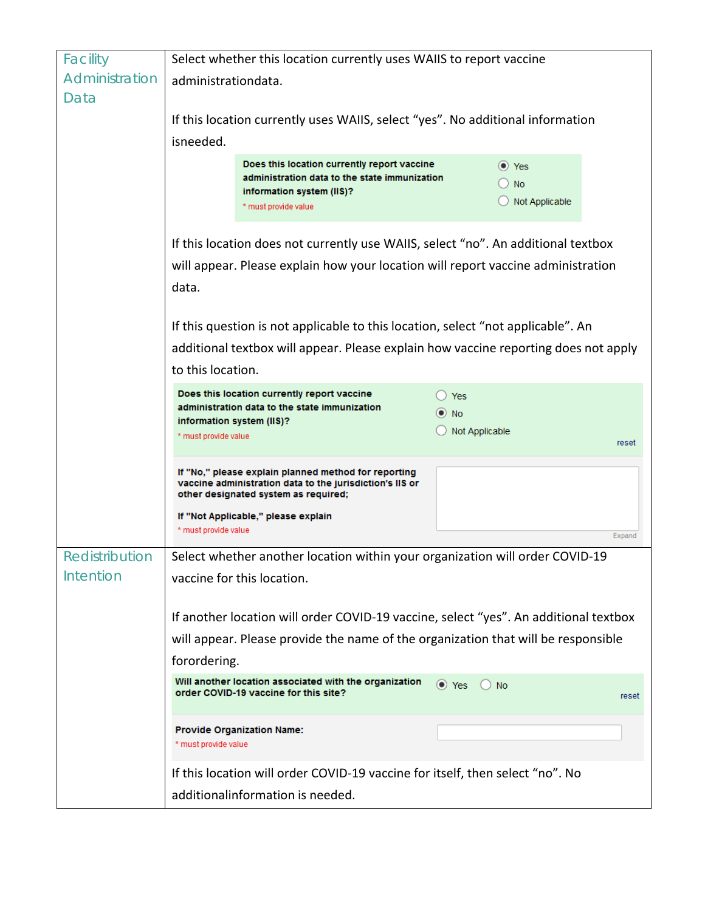| Facility                                                                                          | Select whether this location currently uses WAIIS to report vaccine                                               |                                                                                                                                                          |                                                                                   |
|---------------------------------------------------------------------------------------------------|-------------------------------------------------------------------------------------------------------------------|----------------------------------------------------------------------------------------------------------------------------------------------------------|-----------------------------------------------------------------------------------|
| Administration                                                                                    | administrationdata.                                                                                               |                                                                                                                                                          |                                                                                   |
| Data                                                                                              |                                                                                                                   |                                                                                                                                                          |                                                                                   |
|                                                                                                   | If this location currently uses WAIIS, select "yes". No additional information                                    |                                                                                                                                                          |                                                                                   |
|                                                                                                   | isneeded.                                                                                                         |                                                                                                                                                          |                                                                                   |
|                                                                                                   |                                                                                                                   | Does this location currently report vaccine<br>administration data to the state immunization                                                             | $\bullet$ Yes                                                                     |
|                                                                                                   |                                                                                                                   | information system (IIS)?                                                                                                                                | <b>No</b><br>O<br>Not Applicable                                                  |
|                                                                                                   |                                                                                                                   | * must provide value                                                                                                                                     |                                                                                   |
|                                                                                                   |                                                                                                                   |                                                                                                                                                          | If this location does not currently use WAIIS, select "no". An additional textbox |
|                                                                                                   | will appear. Please explain how your location will report vaccine administration                                  |                                                                                                                                                          |                                                                                   |
|                                                                                                   | data.                                                                                                             |                                                                                                                                                          |                                                                                   |
|                                                                                                   |                                                                                                                   |                                                                                                                                                          |                                                                                   |
|                                                                                                   | If this question is not applicable to this location, select "not applicable". An                                  |                                                                                                                                                          |                                                                                   |
|                                                                                                   | additional textbox will appear. Please explain how vaccine reporting does not apply                               |                                                                                                                                                          |                                                                                   |
|                                                                                                   | to this location.                                                                                                 |                                                                                                                                                          |                                                                                   |
|                                                                                                   | Does this location currently report vaccine<br><b>Yes</b><br>administration data to the state immunization        |                                                                                                                                                          |                                                                                   |
|                                                                                                   |                                                                                                                   | information system (IIS)?                                                                                                                                | $\odot$ No<br>Not Applicable                                                      |
|                                                                                                   | * must provide value                                                                                              |                                                                                                                                                          | reset                                                                             |
|                                                                                                   |                                                                                                                   | If "No," please explain planned method for reporting<br>vaccine administration data to the jurisdiction's IIS or<br>other designated system as required; |                                                                                   |
|                                                                                                   | * must provide value                                                                                              | If "Not Applicable," please explain                                                                                                                      | Expand                                                                            |
| Redistribution                                                                                    | Select whether another location within your organization will order COVID-19                                      |                                                                                                                                                          |                                                                                   |
| Intention                                                                                         | vaccine for this location.                                                                                        |                                                                                                                                                          |                                                                                   |
|                                                                                                   | If another location will order COVID-19 vaccine, select "yes". An additional textbox                              |                                                                                                                                                          |                                                                                   |
|                                                                                                   |                                                                                                                   |                                                                                                                                                          |                                                                                   |
| will appear. Please provide the name of the organization that will be responsible<br>forordering. |                                                                                                                   |                                                                                                                                                          |                                                                                   |
|                                                                                                   |                                                                                                                   | Will another location associated with the organization<br>order COVID-19 vaccine for this site?                                                          | $\bullet$ Yes<br><b>No</b><br>reset                                               |
|                                                                                                   | * must provide value                                                                                              | <b>Provide Organization Name:</b>                                                                                                                        |                                                                                   |
|                                                                                                   | If this location will order COVID-19 vaccine for itself, then select "no". No<br>additionalinformation is needed. |                                                                                                                                                          |                                                                                   |
|                                                                                                   |                                                                                                                   |                                                                                                                                                          |                                                                                   |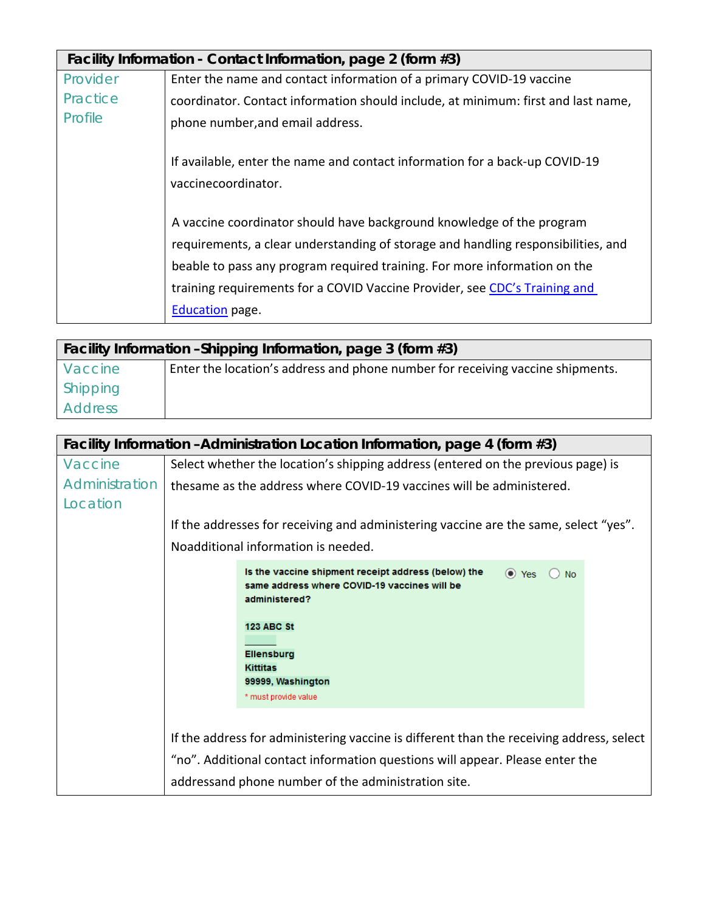| Facility Information - Contact Information, page 2 (form #3) |                                                                                                    |  |
|--------------------------------------------------------------|----------------------------------------------------------------------------------------------------|--|
| Provider                                                     | Enter the name and contact information of a primary COVID-19 vaccine                               |  |
| Practice                                                     | coordinator. Contact information should include, at minimum: first and last name,                  |  |
| Profile                                                      | phone number, and email address.                                                                   |  |
|                                                              | If available, enter the name and contact information for a back-up COVID-19<br>vaccinecoordinator. |  |
|                                                              | A vaccine coordinator should have background knowledge of the program                              |  |
|                                                              | requirements, a clear understanding of storage and handling responsibilities, and                  |  |
|                                                              | beable to pass any program required training. For more information on the                          |  |
|                                                              | training requirements for a COVID Vaccine Provider, see CDC's Training and                         |  |
|                                                              | <b>Education</b> page.                                                                             |  |

| Facility Information - Shipping Information, page 3 (form #3) |                                                                                |  |
|---------------------------------------------------------------|--------------------------------------------------------------------------------|--|
| Vaccine                                                       | Enter the location's address and phone number for receiving vaccine shipments. |  |
| Shipping                                                      |                                                                                |  |
| <b>Address</b>                                                |                                                                                |  |

| Facility Information - Administration Location Information, page 4 (form #3) |                                                                                                                                                                                                                                 |  |  |
|------------------------------------------------------------------------------|---------------------------------------------------------------------------------------------------------------------------------------------------------------------------------------------------------------------------------|--|--|
| Vaccine                                                                      | Select whether the location's shipping address (entered on the previous page) is                                                                                                                                                |  |  |
| Administration                                                               | thesame as the address where COVID-19 vaccines will be administered.                                                                                                                                                            |  |  |
| Location                                                                     |                                                                                                                                                                                                                                 |  |  |
|                                                                              | If the addresses for receiving and administering vaccine are the same, select "yes".                                                                                                                                            |  |  |
|                                                                              | Noadditional information is needed.                                                                                                                                                                                             |  |  |
|                                                                              | Is the vaccine shipment receipt address (below) the<br>$\bullet$ Yes<br><b>No</b><br>same address where COVID-19 vaccines will be<br>administered?                                                                              |  |  |
|                                                                              | <b>123 ABC St</b><br><b>Ellensburg</b><br><b>Kittitas</b><br>99999, Washington<br>* must provide value                                                                                                                          |  |  |
|                                                                              | If the address for administering vaccine is different than the receiving address, select<br>"no". Additional contact information questions will appear. Please enter the<br>addressand phone number of the administration site. |  |  |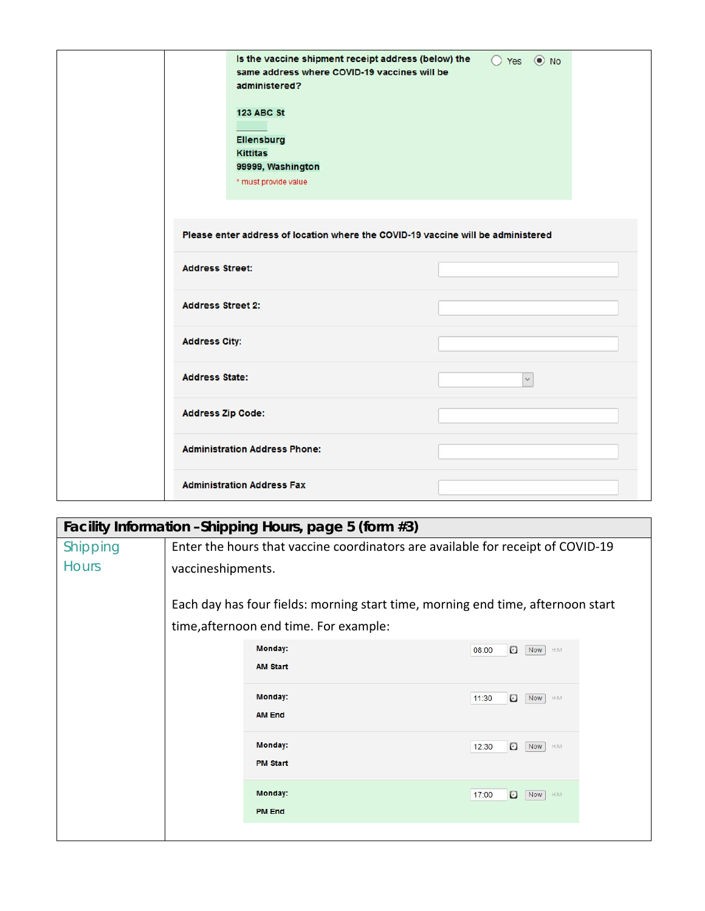| Is the vaccine shipment receipt address (below) the<br>same address where COVID-19 vaccines will be<br>administered?<br><b>123 ABC St</b><br><b>Ellensburg</b><br><b>Kittitas</b><br>99999, Washington<br>* must provide value<br>Please enter address of location where the COVID-19 vaccine will be administered | ○ Yes ● No   |
|--------------------------------------------------------------------------------------------------------------------------------------------------------------------------------------------------------------------------------------------------------------------------------------------------------------------|--------------|
| <b>Address Street:</b>                                                                                                                                                                                                                                                                                             |              |
| <b>Address Street 2:</b>                                                                                                                                                                                                                                                                                           |              |
| <b>Address City:</b>                                                                                                                                                                                                                                                                                               |              |
| <b>Address State:</b>                                                                                                                                                                                                                                                                                              | $\checkmark$ |
| <b>Address Zip Code:</b>                                                                                                                                                                                                                                                                                           |              |
| <b>Administration Address Phone:</b>                                                                                                                                                                                                                                                                               |              |
| <b>Administration Address Fax</b>                                                                                                                                                                                                                                                                                  |              |

| Facility Information - Shipping Hours, page 5 (form #3) |                                                                                 |                                                                                 |                                              |  |
|---------------------------------------------------------|---------------------------------------------------------------------------------|---------------------------------------------------------------------------------|----------------------------------------------|--|
| Shipping                                                |                                                                                 | Enter the hours that vaccine coordinators are available for receipt of COVID-19 |                                              |  |
| <b>Hours</b>                                            |                                                                                 | vaccineshipments.                                                               |                                              |  |
|                                                         | Each day has four fields: morning start time, morning end time, afternoon start |                                                                                 |                                              |  |
|                                                         |                                                                                 | time, afternoon end time. For example:                                          |                                              |  |
|                                                         |                                                                                 | Monday:                                                                         | $\boldsymbol{\Theta}$<br>Now H:M<br>08:00    |  |
|                                                         |                                                                                 | <b>AM Start</b>                                                                 |                                              |  |
|                                                         | Monday:                                                                         | $\boldsymbol{\Theta}$<br>11:30<br>Now  <br>H:M                                  |                                              |  |
|                                                         |                                                                                 | <b>AM End</b>                                                                   |                                              |  |
|                                                         |                                                                                 | Monday:                                                                         | 12:30<br>O<br>Now  <br>H:M                   |  |
|                                                         |                                                                                 | <b>PM Start</b>                                                                 |                                              |  |
|                                                         |                                                                                 | Monday:                                                                         | $\boldsymbol{\Theta}$<br>Now<br>17:00<br>H:M |  |
|                                                         |                                                                                 | <b>PM End</b>                                                                   |                                              |  |
|                                                         |                                                                                 |                                                                                 |                                              |  |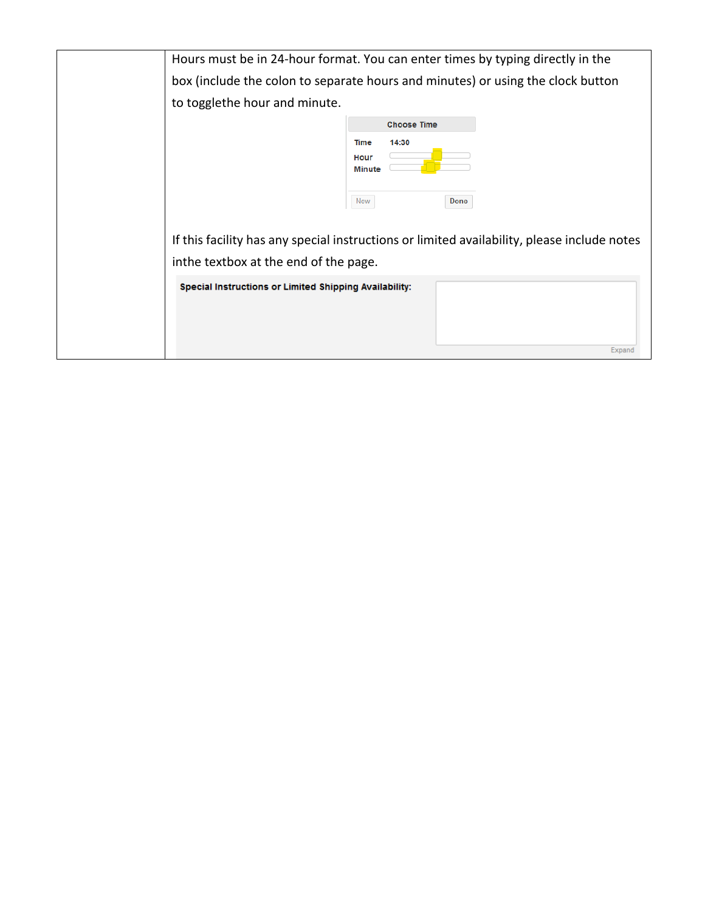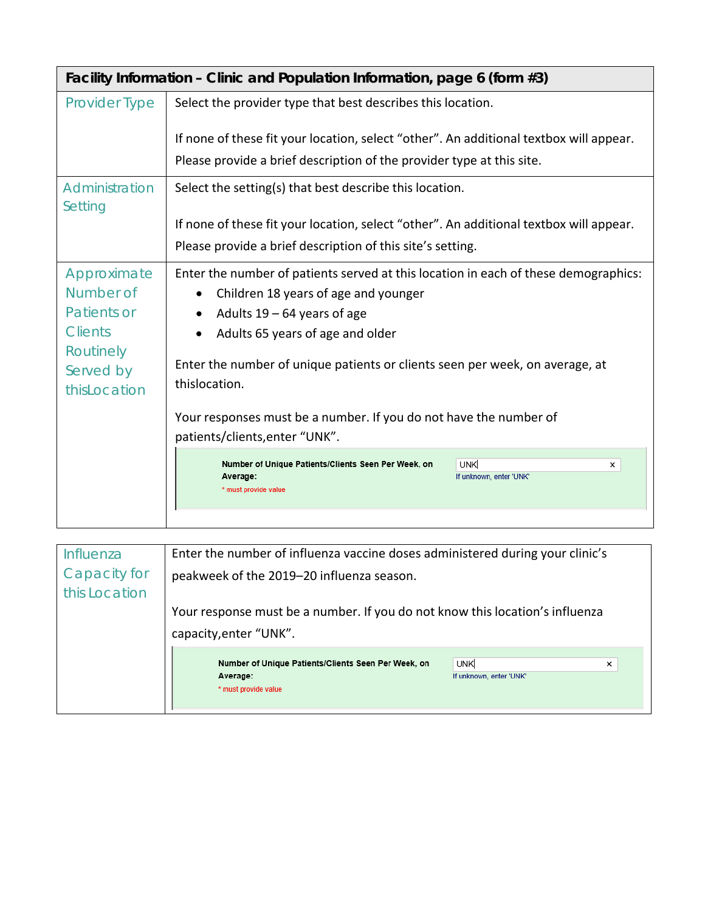| Facility Information – Clinic and Population Information, page 6 (form $#3$ ) |                                                                                                                                       |  |  |  |
|-------------------------------------------------------------------------------|---------------------------------------------------------------------------------------------------------------------------------------|--|--|--|
| <b>Provider Type</b>                                                          | Select the provider type that best describes this location.                                                                           |  |  |  |
|                                                                               | If none of these fit your location, select "other". An additional textbox will appear.                                                |  |  |  |
|                                                                               | Please provide a brief description of the provider type at this site.                                                                 |  |  |  |
| Administration<br>Setting                                                     | Select the setting(s) that best describe this location.                                                                               |  |  |  |
|                                                                               | If none of these fit your location, select "other". An additional textbox will appear.                                                |  |  |  |
|                                                                               | Please provide a brief description of this site's setting.                                                                            |  |  |  |
| Approximate                                                                   | Enter the number of patients served at this location in each of these demographics:<br>Children 18 years of age and younger           |  |  |  |
| Number of                                                                     |                                                                                                                                       |  |  |  |
| Patients or                                                                   | Adults $19 - 64$ years of age<br>Adults 65 years of age and older                                                                     |  |  |  |
| <b>Clients</b>                                                                |                                                                                                                                       |  |  |  |
| Routinely<br>Served by                                                        | Enter the number of unique patients or clients seen per week, on average, at<br>thislocation.                                         |  |  |  |
| thisLocation                                                                  |                                                                                                                                       |  |  |  |
|                                                                               | Your responses must be a number. If you do not have the number of<br>patients/clients, enter "UNK".                                   |  |  |  |
|                                                                               | Number of Unique Patients/Clients Seen Per Week, on<br><b>UNK</b><br>×<br>Average:<br>If unknown, enter 'UNK'<br>* must provide value |  |  |  |
|                                                                               |                                                                                                                                       |  |  |  |

| Influenza     | Enter the number of influenza vaccine doses administered during your clinic's                                                         |  |  |  |
|---------------|---------------------------------------------------------------------------------------------------------------------------------------|--|--|--|
| Capacity for  | peakweek of the 2019-20 influenza season.                                                                                             |  |  |  |
| this Location |                                                                                                                                       |  |  |  |
|               | Your response must be a number. If you do not know this location's influenza                                                          |  |  |  |
|               | capacity, enter "UNK".                                                                                                                |  |  |  |
|               | Number of Unique Patients/Clients Seen Per Week, on<br><b>UNK</b><br>×<br>Average:<br>If unknown, enter 'UNK'<br>* must provide value |  |  |  |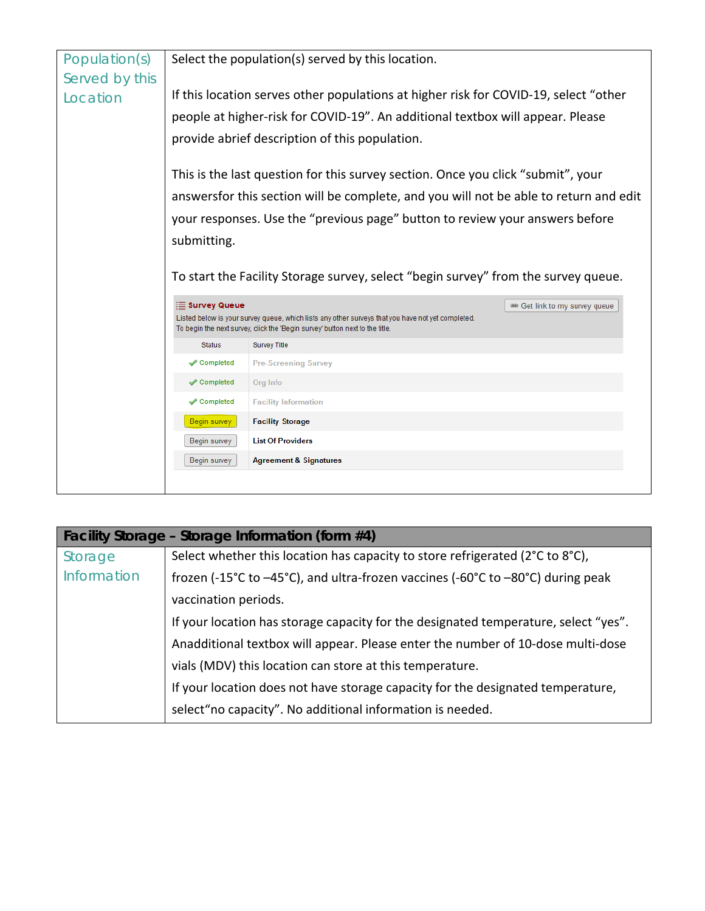

| Facility Storage - Storage Information (form #4)                                    |                                                                                 |  |  |  |
|-------------------------------------------------------------------------------------|---------------------------------------------------------------------------------|--|--|--|
| Storage                                                                             | Select whether this location has capacity to store refrigerated (2°C to 8°C),   |  |  |  |
| Information                                                                         | frozen (-15°C to -45°C), and ultra-frozen vaccines (-60°C to -80°C) during peak |  |  |  |
|                                                                                     | vaccination periods.                                                            |  |  |  |
| If your location has storage capacity for the designated temperature, select "yes". |                                                                                 |  |  |  |
|                                                                                     | Anadditional textbox will appear. Please enter the number of 10-dose multi-dose |  |  |  |
|                                                                                     | vials (MDV) this location can store at this temperature.                        |  |  |  |
|                                                                                     | If your location does not have storage capacity for the designated temperature, |  |  |  |
|                                                                                     | select "no capacity". No additional information is needed.                      |  |  |  |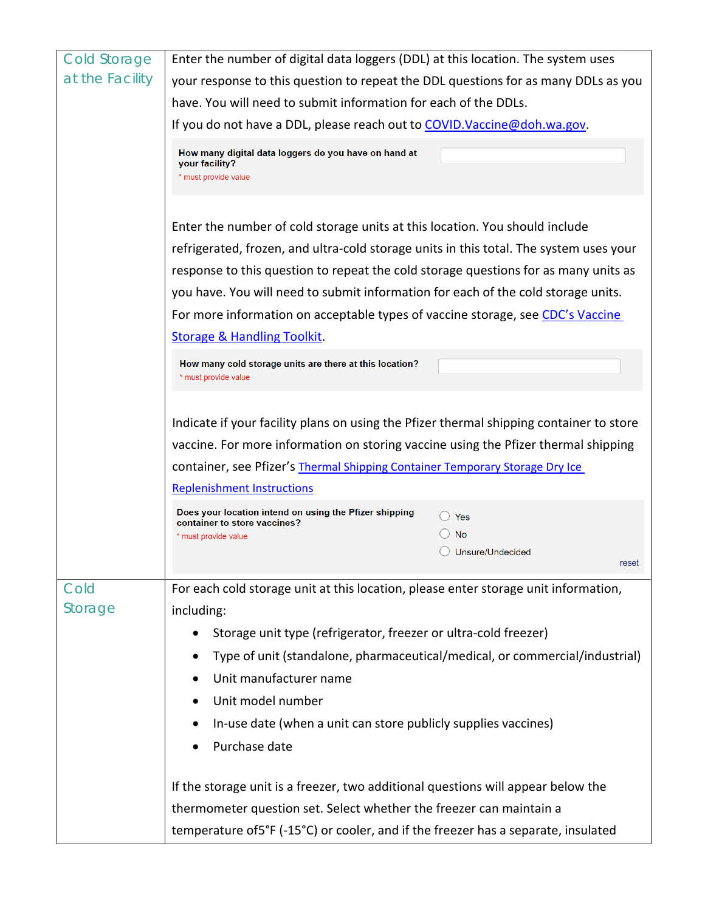| at the Facility<br>your response to this question to repeat the DDL questions for as many DDLs as you | Enter the number of digital data loggers (DDL) at this location. The system uses |  |  |  |  |
|-------------------------------------------------------------------------------------------------------|----------------------------------------------------------------------------------|--|--|--|--|
|                                                                                                       |                                                                                  |  |  |  |  |
| have. You will need to submit information for each of the DDLs.                                       |                                                                                  |  |  |  |  |
| If you do not have a DDL, please reach out to COVID. Vaccine@doh.wa.gov.                              |                                                                                  |  |  |  |  |
| How many digital data loggers do you have on hand at<br>your facility?<br>* must provide value        |                                                                                  |  |  |  |  |
| Enter the number of cold storage units at this location. You should include                           |                                                                                  |  |  |  |  |
| refrigerated, frozen, and ultra-cold storage units in this total. The system uses your                |                                                                                  |  |  |  |  |
| response to this question to repeat the cold storage questions for as many units as                   |                                                                                  |  |  |  |  |
| you have. You will need to submit information for each of the cold storage units.                     |                                                                                  |  |  |  |  |
| For more information on acceptable types of vaccine storage, see CDC's Vaccine                        |                                                                                  |  |  |  |  |
| <b>Storage &amp; Handling Toolkit.</b>                                                                |                                                                                  |  |  |  |  |
|                                                                                                       |                                                                                  |  |  |  |  |
| How many cold storage units are there at this location?<br>* must provide value                       |                                                                                  |  |  |  |  |
|                                                                                                       |                                                                                  |  |  |  |  |
| Indicate if your facility plans on using the Pfizer thermal shipping container to store               |                                                                                  |  |  |  |  |
| vaccine. For more information on storing vaccine using the Pfizer thermal shipping                    |                                                                                  |  |  |  |  |
| container, see Pfizer's Thermal Shipping Container Temporary Storage Dry Ice                          |                                                                                  |  |  |  |  |
| <b>Replenishment Instructions</b>                                                                     |                                                                                  |  |  |  |  |
| Does your location intend on using the Pfizer shipping                                                |                                                                                  |  |  |  |  |
| Yes<br>container to store vaccines?<br><b>No</b>                                                      |                                                                                  |  |  |  |  |
| * must provide value<br>Unsure/Undecided                                                              |                                                                                  |  |  |  |  |
|                                                                                                       | reset                                                                            |  |  |  |  |
| Cold<br>For each cold storage unit at this location, please enter storage unit information,           |                                                                                  |  |  |  |  |
| Storage<br>including:                                                                                 |                                                                                  |  |  |  |  |
| Storage unit type (refrigerator, freezer or ultra-cold freezer)                                       |                                                                                  |  |  |  |  |
| Type of unit (standalone, pharmaceutical/medical, or commercial/industrial)                           |                                                                                  |  |  |  |  |
| Unit manufacturer name                                                                                |                                                                                  |  |  |  |  |
| Unit model number                                                                                     |                                                                                  |  |  |  |  |
| In-use date (when a unit can store publicly supplies vaccines)                                        |                                                                                  |  |  |  |  |
|                                                                                                       |                                                                                  |  |  |  |  |
|                                                                                                       |                                                                                  |  |  |  |  |
| Purchase date                                                                                         |                                                                                  |  |  |  |  |
| If the storage unit is a freezer, two additional questions will appear below the                      |                                                                                  |  |  |  |  |
| thermometer question set. Select whether the freezer can maintain a                                   |                                                                                  |  |  |  |  |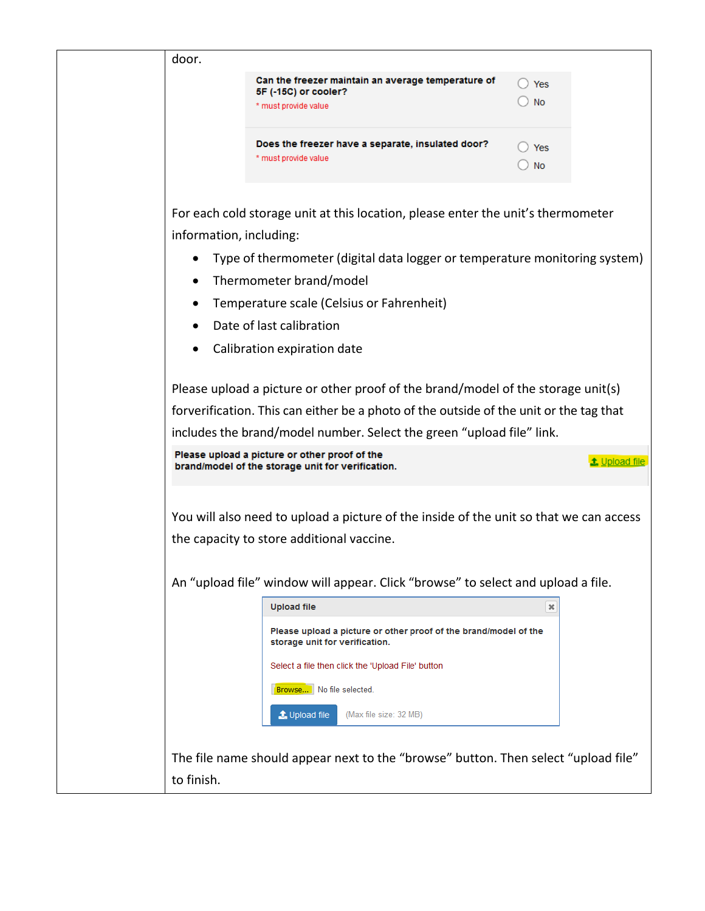| door.                                                                                                                                                           |                                                                                                    |                           |               |  |
|-----------------------------------------------------------------------------------------------------------------------------------------------------------------|----------------------------------------------------------------------------------------------------|---------------------------|---------------|--|
|                                                                                                                                                                 | Can the freezer maintain an average temperature of<br>5F (-15C) or cooler?                         | ) Yes                     |               |  |
|                                                                                                                                                                 | * must provide value                                                                               | No                        |               |  |
|                                                                                                                                                                 | Does the freezer have a separate, insulated door?<br>* must provide value                          | $\rightarrow$ Yes<br>∪ No |               |  |
| information, including:                                                                                                                                         | For each cold storage unit at this location, please enter the unit's thermometer                   |                           |               |  |
|                                                                                                                                                                 | Type of thermometer (digital data logger or temperature monitoring system)                         |                           |               |  |
| ٠                                                                                                                                                               | Thermometer brand/model                                                                            |                           |               |  |
|                                                                                                                                                                 | Temperature scale (Celsius or Fahrenheit)                                                          |                           |               |  |
|                                                                                                                                                                 | Date of last calibration                                                                           |                           |               |  |
|                                                                                                                                                                 | Calibration expiration date                                                                        |                           |               |  |
|                                                                                                                                                                 | Please upload a picture or other proof of the brand/model of the storage unit(s)                   |                           |               |  |
|                                                                                                                                                                 |                                                                                                    |                           |               |  |
| forverification. This can either be a photo of the outside of the unit or the tag that<br>includes the brand/model number. Select the green "upload file" link. |                                                                                                    |                           |               |  |
| Please upload a picture or other proof of the                                                                                                                   |                                                                                                    |                           |               |  |
|                                                                                                                                                                 | brand/model of the storage unit for verification.                                                  |                           | t Upload file |  |
|                                                                                                                                                                 |                                                                                                    |                           |               |  |
|                                                                                                                                                                 | You will also need to upload a picture of the inside of the unit so that we can access             |                           |               |  |
|                                                                                                                                                                 | the capacity to store additional vaccine.                                                          |                           |               |  |
|                                                                                                                                                                 | An "upload file" window will appear. Click "browse" to select and upload a file.                   |                           |               |  |
|                                                                                                                                                                 | <b>Upload file</b>                                                                                 | ×                         |               |  |
|                                                                                                                                                                 | Please upload a picture or other proof of the brand/model of the<br>storage unit for verification. |                           |               |  |
|                                                                                                                                                                 | Select a file then click the 'Upload File' button                                                  |                           |               |  |
|                                                                                                                                                                 | Browse   No file selected.                                                                         |                           |               |  |
|                                                                                                                                                                 | t Upload file<br>(Max file size: 32 MB)                                                            |                           |               |  |
|                                                                                                                                                                 |                                                                                                    |                           |               |  |
|                                                                                                                                                                 | The file name should appear next to the "browse" button. Then select "upload file"                 |                           |               |  |
| to finish.                                                                                                                                                      |                                                                                                    |                           |               |  |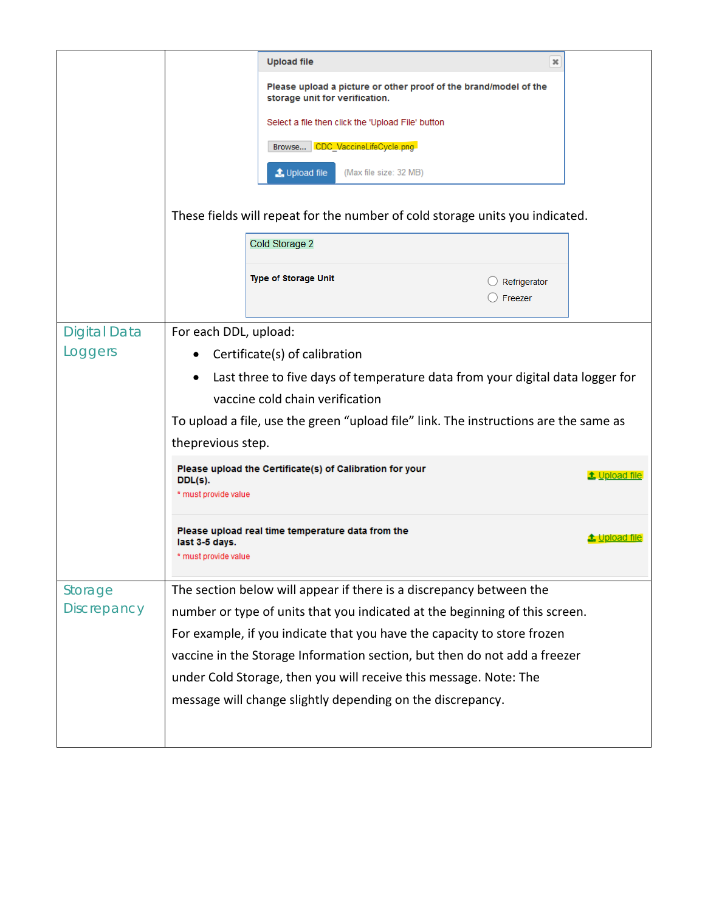|                     |                                                                                                                                                                                                                                            | <b>Upload file</b>                                                                                 | ×                      |
|---------------------|--------------------------------------------------------------------------------------------------------------------------------------------------------------------------------------------------------------------------------------------|----------------------------------------------------------------------------------------------------|------------------------|
|                     |                                                                                                                                                                                                                                            | Please upload a picture or other proof of the brand/model of the<br>storage unit for verification. |                        |
|                     |                                                                                                                                                                                                                                            | Select a file then click the 'Upload File' button                                                  |                        |
|                     |                                                                                                                                                                                                                                            | Browse CDC VaccineLifeCycle.png                                                                    |                        |
|                     |                                                                                                                                                                                                                                            | t Upload file<br>(Max file size: 32 MB)                                                            |                        |
|                     |                                                                                                                                                                                                                                            | These fields will repeat for the number of cold storage units you indicated.                       |                        |
|                     |                                                                                                                                                                                                                                            | Cold Storage 2                                                                                     |                        |
|                     |                                                                                                                                                                                                                                            |                                                                                                    |                        |
|                     |                                                                                                                                                                                                                                            | <b>Type of Storage Unit</b><br>Refrigerator<br>Freezer                                             |                        |
| <b>Digital Data</b> | For each DDL, upload:                                                                                                                                                                                                                      |                                                                                                    |                        |
| Loggers             | Certificate(s) of calibration                                                                                                                                                                                                              |                                                                                                    |                        |
|                     | Last three to five days of temperature data from your digital data logger for<br>$\bullet$<br>vaccine cold chain verification<br>To upload a file, use the green "upload file" link. The instructions are the same as<br>theprevious step. |                                                                                                    |                        |
|                     |                                                                                                                                                                                                                                            |                                                                                                    |                        |
|                     |                                                                                                                                                                                                                                            |                                                                                                    |                        |
|                     |                                                                                                                                                                                                                                            |                                                                                                    |                        |
|                     |                                                                                                                                                                                                                                            | Please upload the Certificate(s) of Calibration for your                                           | <b>t</b> , Upload file |
|                     | DDL(s).<br>* must provide value                                                                                                                                                                                                            |                                                                                                    |                        |
|                     | last 3-5 days.<br>* must provide value                                                                                                                                                                                                     | Please upload real time temperature data from the                                                  | <b>t.</b> Upload file  |
| Storage             |                                                                                                                                                                                                                                            | The section below will appear if there is a discrepancy between the                                |                        |
| <b>Discrepancy</b>  |                                                                                                                                                                                                                                            | number or type of units that you indicated at the beginning of this screen.                        |                        |
|                     |                                                                                                                                                                                                                                            | For example, if you indicate that you have the capacity to store frozen                            |                        |
|                     |                                                                                                                                                                                                                                            | vaccine in the Storage Information section, but then do not add a freezer                          |                        |
|                     |                                                                                                                                                                                                                                            | under Cold Storage, then you will receive this message. Note: The                                  |                        |
|                     |                                                                                                                                                                                                                                            | message will change slightly depending on the discrepancy.                                         |                        |
|                     |                                                                                                                                                                                                                                            |                                                                                                    |                        |
|                     |                                                                                                                                                                                                                                            |                                                                                                    |                        |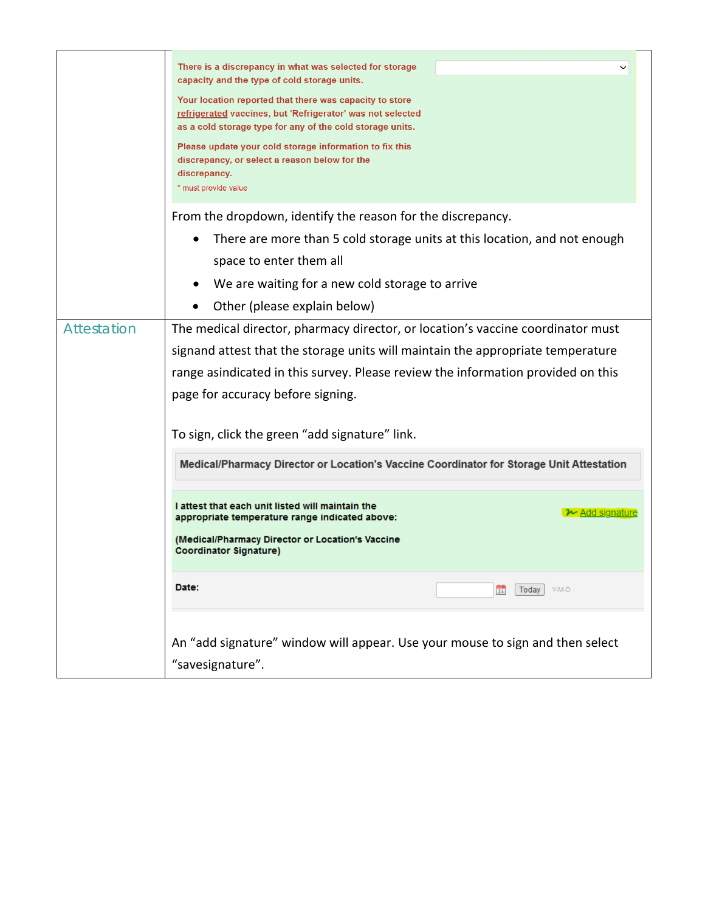|                    | There is a discrepancy in what was selected for storage<br>capacity and the type of cold storage units.<br>Your location reported that there was capacity to store<br>refrigerated vaccines, but 'Refrigerator' was not selected<br>as a cold storage type for any of the cold storage units.<br>Please update your cold storage information to fix this<br>discrepancy, or select a reason below for the<br>discrepancy.<br>* must provide value                                                                                                                                                                                                            |
|--------------------|--------------------------------------------------------------------------------------------------------------------------------------------------------------------------------------------------------------------------------------------------------------------------------------------------------------------------------------------------------------------------------------------------------------------------------------------------------------------------------------------------------------------------------------------------------------------------------------------------------------------------------------------------------------|
|                    | From the dropdown, identify the reason for the discrepancy.<br>There are more than 5 cold storage units at this location, and not enough<br>space to enter them all<br>We are waiting for a new cold storage to arrive<br>Other (please explain below)                                                                                                                                                                                                                                                                                                                                                                                                       |
| <b>Attestation</b> | The medical director, pharmacy director, or location's vaccine coordinator must<br>signand attest that the storage units will maintain the appropriate temperature<br>range asindicated in this survey. Please review the information provided on this<br>page for accuracy before signing.<br>To sign, click the green "add signature" link.<br>Medical/Pharmacy Director or Location's Vaccine Coordinator for Storage Unit Attestation<br>I attest that each unit listed will maintain the<br>$\sim$ Add signature<br>appropriate temperature range indicated above:<br>(Medical/Pharmacy Director or Location's Vaccine<br><b>Coordinator Signature)</b> |
|                    | Date:<br>Today<br>Y-M-D<br>31<br>An "add signature" window will appear. Use your mouse to sign and then select<br>"savesignature".                                                                                                                                                                                                                                                                                                                                                                                                                                                                                                                           |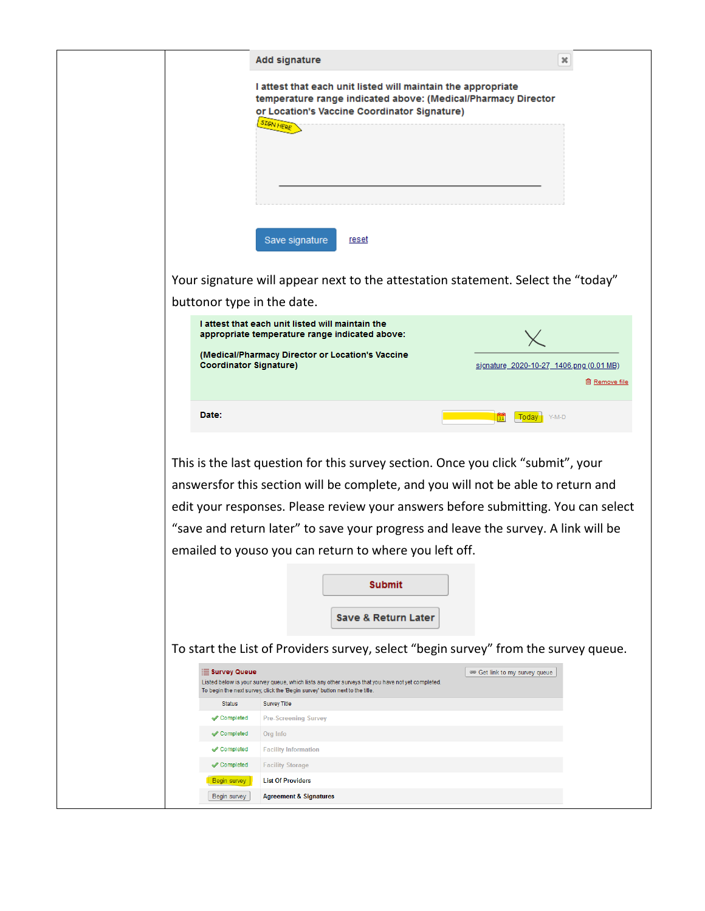|                               | <b>Add signature</b>                                                                                                                                                                                                                                                                                                                  | ×                                                                                 |
|-------------------------------|---------------------------------------------------------------------------------------------------------------------------------------------------------------------------------------------------------------------------------------------------------------------------------------------------------------------------------------|-----------------------------------------------------------------------------------|
|                               | I attest that each unit listed will maintain the appropriate<br>temperature range indicated above: (Medical/Pharmacy Director<br>or Location's Vaccine Coordinator Signature)<br><b>SIGN HERE</b>                                                                                                                                     |                                                                                   |
|                               | Save signature<br><u>reset</u>                                                                                                                                                                                                                                                                                                        |                                                                                   |
|                               | Your signature will appear next to the attestation statement. Select the "today"                                                                                                                                                                                                                                                      |                                                                                   |
| buttonor type in the date.    |                                                                                                                                                                                                                                                                                                                                       |                                                                                   |
|                               | I attest that each unit listed will maintain the<br>appropriate temperature range indicated above:                                                                                                                                                                                                                                    |                                                                                   |
| <b>Coordinator Signature)</b> | (Medical/Pharmacy Director or Location's Vaccine                                                                                                                                                                                                                                                                                      | signature_2020-10-27_1406.png (0.01 MB)<br><b>自 Remove file</b>                   |
| Date:                         |                                                                                                                                                                                                                                                                                                                                       | 51<br>Today<br>Y-M-D                                                              |
|                               | This is the last question for this survey section. Once you click "submit", your<br>answersfor this section will be complete, and you will not be able to return and<br>"save and return later" to save your progress and leave the survey. A link will be<br>emailed to youso you can return to where you left off.<br><b>Submit</b> | edit your responses. Please review your answers before submitting. You can select |
|                               | Save & Return Later<br>To start the List of Providers survey, select "begin survey" from the survey queue.                                                                                                                                                                                                                            |                                                                                   |
| i⊟ Survey Queue               |                                                                                                                                                                                                                                                                                                                                       | <sup>680</sup> Get link to my survey queue                                        |
|                               | Listed below is your survey queue, which lists any other surveys that you have not yet completed.<br>To begin the next survey, click the 'Begin survey' button next to the title.                                                                                                                                                     |                                                                                   |
| <b>Status</b><br>Completed    | <b>Survey Title</b><br><b>Pre-Screening Survey</b>                                                                                                                                                                                                                                                                                    |                                                                                   |
| Completed                     | Org Info                                                                                                                                                                                                                                                                                                                              |                                                                                   |
| Completed                     | <b>Facility Information</b>                                                                                                                                                                                                                                                                                                           |                                                                                   |
| Completed                     | <b>Facility Storage</b>                                                                                                                                                                                                                                                                                                               |                                                                                   |
| Begin survey                  | <b>List Of Providers</b>                                                                                                                                                                                                                                                                                                              |                                                                                   |
| Begin survey                  | <b>Agreement &amp; Signatures</b>                                                                                                                                                                                                                                                                                                     |                                                                                   |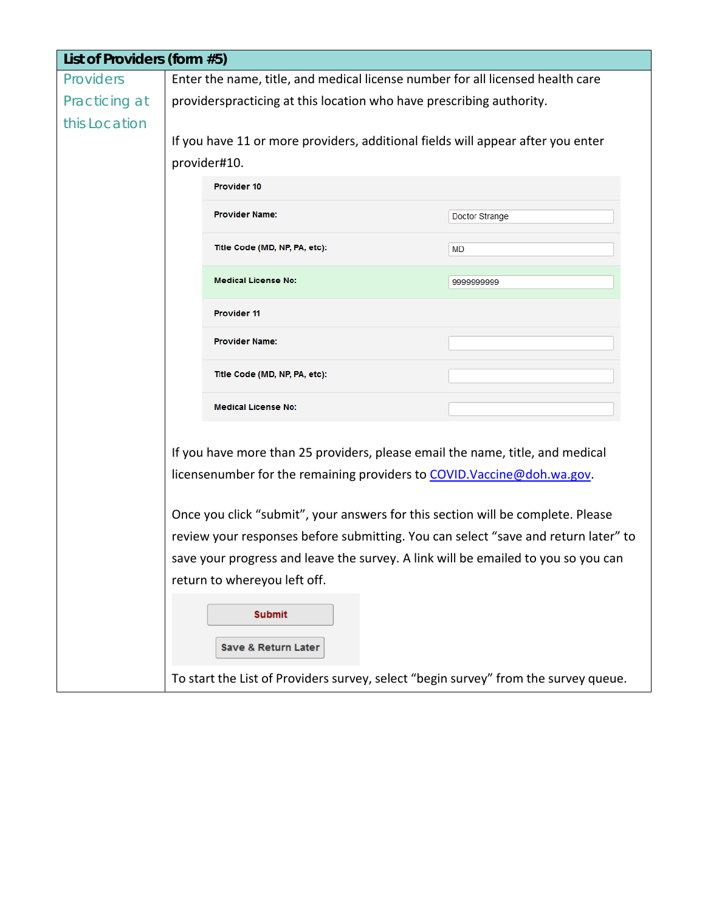| List of Providers (form #5) |                                                                                                                                                          |            |  |  |  |
|-----------------------------|----------------------------------------------------------------------------------------------------------------------------------------------------------|------------|--|--|--|
| <b>Providers</b>            | Enter the name, title, and medical license number for all licensed health care                                                                           |            |  |  |  |
| Practicing at               | providerspracticing at this location who have prescribing authority.                                                                                     |            |  |  |  |
| this Location               |                                                                                                                                                          |            |  |  |  |
|                             | If you have 11 or more providers, additional fields will appear after you enter                                                                          |            |  |  |  |
|                             | provider#10.                                                                                                                                             |            |  |  |  |
|                             | Provider 10                                                                                                                                              |            |  |  |  |
|                             | <b>Provider Name:</b><br>Doctor Strange                                                                                                                  |            |  |  |  |
|                             | Title Code (MD, NP, PA, etc):                                                                                                                            | MD         |  |  |  |
|                             | <b>Medical License No:</b>                                                                                                                               | 9999999999 |  |  |  |
|                             | <b>Provider 11</b>                                                                                                                                       |            |  |  |  |
|                             | <b>Provider Name:</b>                                                                                                                                    |            |  |  |  |
|                             | Title Code (MD, NP, PA, etc):                                                                                                                            |            |  |  |  |
|                             | <b>Medical License No:</b>                                                                                                                               |            |  |  |  |
|                             | If you have more than 25 providers, please email the name, title, and medical<br>licensenumber for the remaining providers to COVID. Vaccine@doh.wa.gov. |            |  |  |  |
|                             | Once you click "submit", your answers for this section will be complete. Please                                                                          |            |  |  |  |
|                             | review your responses before submitting. You can select "save and return later" to                                                                       |            |  |  |  |
|                             | save your progress and leave the survey. A link will be emailed to you so you can                                                                        |            |  |  |  |
|                             | return to whereyou left off.                                                                                                                             |            |  |  |  |
|                             | <b>Submit</b><br><b>Save &amp; Return Later</b>                                                                                                          |            |  |  |  |
|                             | To start the List of Providers survey, select "begin survey" from the survey queue.                                                                      |            |  |  |  |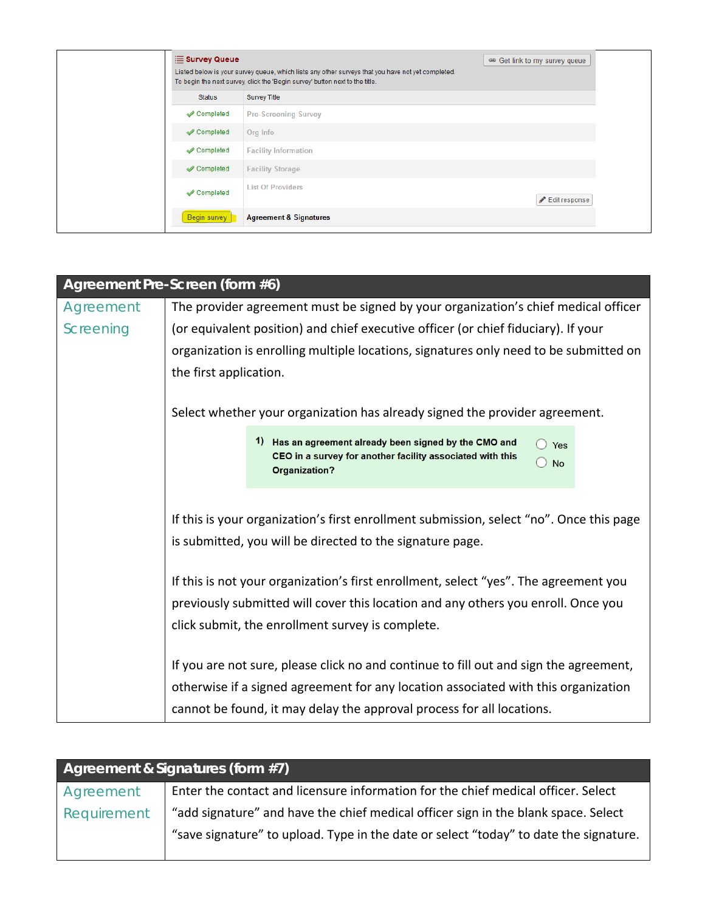|                                      | $\equiv$ Survey Queue<br>Listed below is your survey queue, which lists any other surveys that you have not yet completed.<br>To begin the next survey, click the 'Begin survey' button next to the title. |               |
|--------------------------------------|------------------------------------------------------------------------------------------------------------------------------------------------------------------------------------------------------------|---------------|
| <b>Status</b><br><b>Survey Title</b> |                                                                                                                                                                                                            |               |
| Completed                            | <b>Pre-Screening Survey</b>                                                                                                                                                                                |               |
| Completed                            | Org Info                                                                                                                                                                                                   |               |
| Completed                            | <b>Facility Information</b>                                                                                                                                                                                |               |
| Completed                            | <b>Facility Storage</b>                                                                                                                                                                                    |               |
| Completed                            | <b>List Of Providers</b>                                                                                                                                                                                   | Edit response |
| Begin survey                         | <b>Agreement &amp; Signatures</b>                                                                                                                                                                          |               |

<span id="page-17-1"></span><span id="page-17-0"></span>

| Agreement Pre-Screen (form #6) |                                                                                                                                                                                                                                                                                                                                                                                       |                                                                                                                                                        |  |
|--------------------------------|---------------------------------------------------------------------------------------------------------------------------------------------------------------------------------------------------------------------------------------------------------------------------------------------------------------------------------------------------------------------------------------|--------------------------------------------------------------------------------------------------------------------------------------------------------|--|
| Agreement                      | The provider agreement must be signed by your organization's chief medical officer                                                                                                                                                                                                                                                                                                    |                                                                                                                                                        |  |
| Screening                      | (or equivalent position) and chief executive officer (or chief fiduciary). If your                                                                                                                                                                                                                                                                                                    |                                                                                                                                                        |  |
|                                |                                                                                                                                                                                                                                                                                                                                                                                       | organization is enrolling multiple locations, signatures only need to be submitted on                                                                  |  |
|                                | the first application.                                                                                                                                                                                                                                                                                                                                                                |                                                                                                                                                        |  |
|                                |                                                                                                                                                                                                                                                                                                                                                                                       |                                                                                                                                                        |  |
|                                | Select whether your organization has already signed the provider agreement.                                                                                                                                                                                                                                                                                                           |                                                                                                                                                        |  |
|                                |                                                                                                                                                                                                                                                                                                                                                                                       | 1) Has an agreement already been signed by the CMO and<br>$\bigcirc$ Yes<br>CEO in a survey for another facility associated with this<br>$\bigcirc$ No |  |
|                                |                                                                                                                                                                                                                                                                                                                                                                                       | <b>Organization?</b>                                                                                                                                   |  |
|                                |                                                                                                                                                                                                                                                                                                                                                                                       |                                                                                                                                                        |  |
|                                | If this is your organization's first enrollment submission, select "no". Once this page<br>is submitted, you will be directed to the signature page.<br>If this is not your organization's first enrollment, select "yes". The agreement you<br>previously submitted will cover this location and any others you enroll. Once you<br>click submit, the enrollment survey is complete. |                                                                                                                                                        |  |
|                                |                                                                                                                                                                                                                                                                                                                                                                                       |                                                                                                                                                        |  |
|                                |                                                                                                                                                                                                                                                                                                                                                                                       |                                                                                                                                                        |  |
|                                |                                                                                                                                                                                                                                                                                                                                                                                       |                                                                                                                                                        |  |
|                                |                                                                                                                                                                                                                                                                                                                                                                                       |                                                                                                                                                        |  |
|                                |                                                                                                                                                                                                                                                                                                                                                                                       |                                                                                                                                                        |  |
|                                |                                                                                                                                                                                                                                                                                                                                                                                       |                                                                                                                                                        |  |
|                                |                                                                                                                                                                                                                                                                                                                                                                                       | If you are not sure, please click no and continue to fill out and sign the agreement,                                                                  |  |
|                                |                                                                                                                                                                                                                                                                                                                                                                                       | otherwise if a signed agreement for any location associated with this organization                                                                     |  |
|                                |                                                                                                                                                                                                                                                                                                                                                                                       | cannot be found, it may delay the approval process for all locations.                                                                                  |  |

<span id="page-17-2"></span>

| Agreement & Signatures (form #7) |                                                                                       |  |  |
|----------------------------------|---------------------------------------------------------------------------------------|--|--|
| Agreement                        | Enter the contact and licensure information for the chief medical officer. Select     |  |  |
| Requirement                      | "add signature" and have the chief medical officer sign in the blank space. Select    |  |  |
|                                  | "save signature" to upload. Type in the date or select "today" to date the signature. |  |  |
|                                  |                                                                                       |  |  |